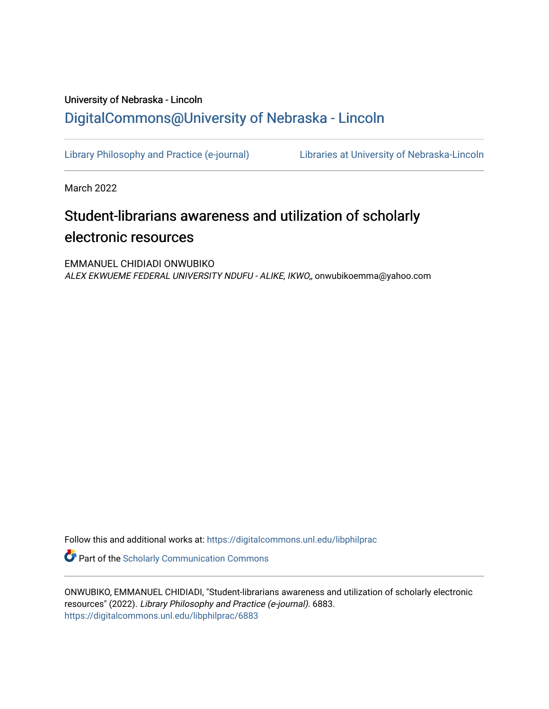## University of Nebraska - Lincoln [DigitalCommons@University of Nebraska - Lincoln](https://digitalcommons.unl.edu/)

[Library Philosophy and Practice \(e-journal\)](https://digitalcommons.unl.edu/libphilprac) [Libraries at University of Nebraska-Lincoln](https://digitalcommons.unl.edu/libraries) 

March 2022

# Student-librarians awareness and utilization of scholarly electronic resources

EMMANUEL CHIDIADI ONWUBIKO ALEX EKWUEME FEDERAL UNIVERSITY NDUFU - ALIKE, IKWO,, onwubikoemma@yahoo.com

Follow this and additional works at: [https://digitalcommons.unl.edu/libphilprac](https://digitalcommons.unl.edu/libphilprac?utm_source=digitalcommons.unl.edu%2Flibphilprac%2F6883&utm_medium=PDF&utm_campaign=PDFCoverPages) 

**C** Part of the Scholarly Communication Commons

ONWUBIKO, EMMANUEL CHIDIADI, "Student-librarians awareness and utilization of scholarly electronic resources" (2022). Library Philosophy and Practice (e-journal). 6883. [https://digitalcommons.unl.edu/libphilprac/6883](https://digitalcommons.unl.edu/libphilprac/6883?utm_source=digitalcommons.unl.edu%2Flibphilprac%2F6883&utm_medium=PDF&utm_campaign=PDFCoverPages)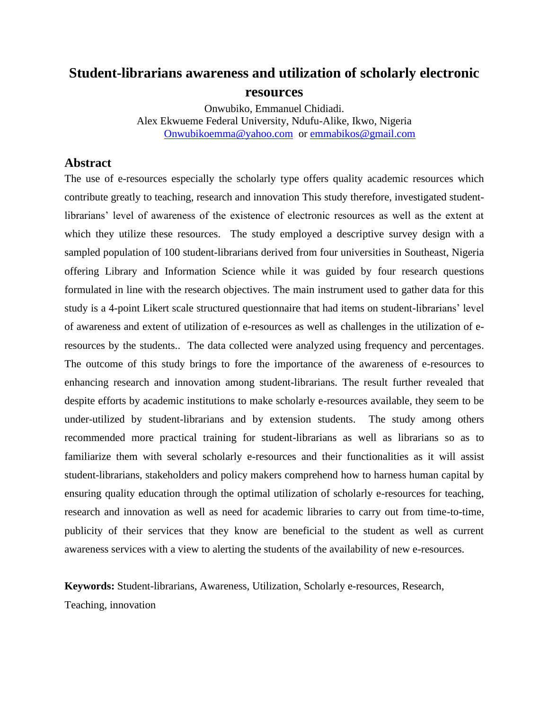## **Student-librarians awareness and utilization of scholarly electronic resources**

Onwubiko, Emmanuel Chidiadi. Alex Ekwueme Federal University, Ndufu-Alike, Ikwo, Nigeria [Onwubikoemma@yahoo.com](mailto:Onwubikoemma@yahoo.com) or [emmabikos@gmail.com](mailto:emmabikos@gmail.com)

## **Abstract**

The use of e-resources especially the scholarly type offers quality academic resources which contribute greatly to teaching, research and innovation This study therefore, investigated studentlibrarians' level of awareness of the existence of electronic resources as well as the extent at which they utilize these resources. The study employed a descriptive survey design with a sampled population of 100 student-librarians derived from four universities in Southeast, Nigeria offering Library and Information Science while it was guided by four research questions formulated in line with the research objectives. The main instrument used to gather data for this study is a 4-point Likert scale structured questionnaire that had items on student-librarians' level of awareness and extent of utilization of e-resources as well as challenges in the utilization of eresources by the students.. The data collected were analyzed using frequency and percentages. The outcome of this study brings to fore the importance of the awareness of e-resources to enhancing research and innovation among student-librarians. The result further revealed that despite efforts by academic institutions to make scholarly e-resources available, they seem to be under-utilized by student-librarians and by extension students. The study among others recommended more practical training for student-librarians as well as librarians so as to familiarize them with several scholarly e-resources and their functionalities as it will assist student-librarians, stakeholders and policy makers comprehend how to harness human capital by ensuring quality education through the optimal utilization of scholarly e-resources for teaching, research and innovation as well as need for academic libraries to carry out from time-to-time, publicity of their services that they know are beneficial to the student as well as current awareness services with a view to alerting the students of the availability of new e-resources.

**Keywords:** Student-librarians, Awareness, Utilization, Scholarly e-resources, Research,

Teaching, innovation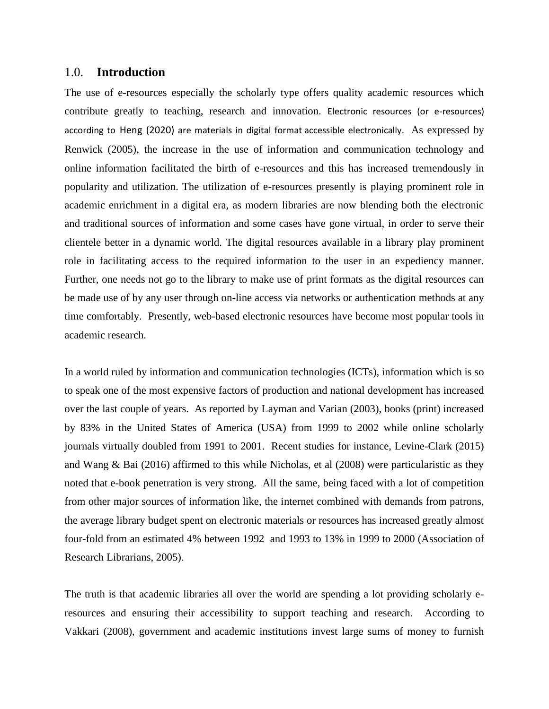#### 1.0. **Introduction**

The use of e-resources especially the scholarly type offers quality academic resources which contribute greatly to teaching, research and innovation. Electronic resources (or e-resources) according to Heng (2020) are materials in digital format accessible electronically. As expressed by Renwick (2005), the increase in the use of information and communication technology and online information facilitated the birth of e-resources and this has increased tremendously in popularity and utilization. The utilization of e-resources presently is playing prominent role in academic enrichment in a digital era, as modern libraries are now blending both the electronic and traditional sources of information and some cases have gone virtual, in order to serve their clientele better in a dynamic world. The digital resources available in a library play prominent role in facilitating access to the required information to the user in an expediency manner. Further, one needs not go to the library to make use of print formats as the digital resources can be made use of by any user through on-line access via networks or authentication methods at any time comfortably. Presently, web-based electronic resources have become most popular tools in academic research.

In a world ruled by information and communication technologies (ICTs), information which is so to speak one of the most expensive factors of production and national development has increased over the last couple of years. As reported by Layman and Varian (2003), books (print) increased by 83% in the United States of America (USA) from 1999 to 2002 while online scholarly journals virtually doubled from 1991 to 2001. Recent studies for instance, Levine-Clark (2015) and Wang & Bai (2016) affirmed to this while Nicholas, et al (2008) were particularistic as they noted that e-book penetration is very strong. All the same, being faced with a lot of competition from other major sources of information like, the internet combined with demands from patrons, the average library budget spent on electronic materials or resources has increased greatly almost four-fold from an estimated 4% between 1992 and 1993 to 13% in 1999 to 2000 (Association of Research Librarians, 2005).

The truth is that academic libraries all over the world are spending a lot providing scholarly eresources and ensuring their accessibility to support teaching and research. According to Vakkari (2008), government and academic institutions invest large sums of money to furnish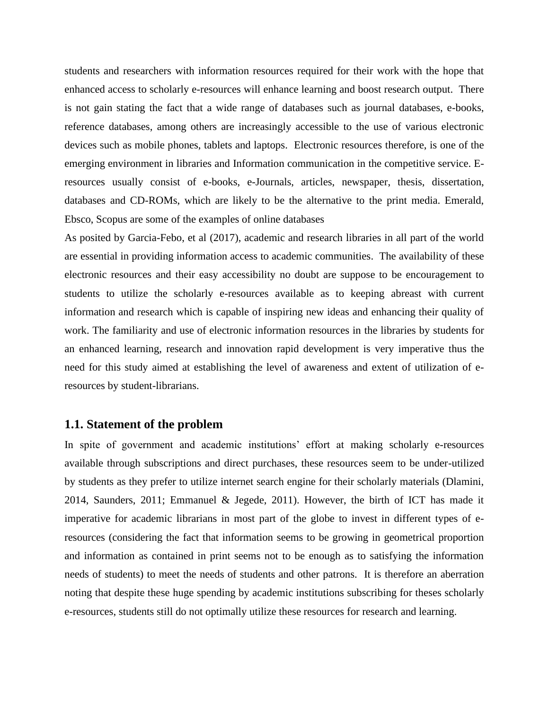students and researchers with information resources required for their work with the hope that enhanced access to scholarly e-resources will enhance learning and boost research output. There is not gain stating the fact that a wide range of databases such as journal databases, e-books, reference databases, among others are increasingly accessible to the use of various electronic devices such as mobile phones, tablets and laptops. Electronic resources therefore, is one of the emerging environment in libraries and Information communication in the competitive service. Eresources usually consist of e-books, e-Journals, articles, newspaper, thesis, dissertation, databases and CD-ROMs, which are likely to be the alternative to the print media. Emerald, Ebsco, Scopus are some of the examples of online databases

As posited by Garcia-Febo, et al (2017), academic and research libraries in all part of the world are essential in providing information access to academic communities. The availability of these electronic resources and their easy accessibility no doubt are suppose to be encouragement to students to utilize the scholarly e-resources available as to keeping abreast with current information and research which is capable of inspiring new ideas and enhancing their quality of work. The familiarity and use of electronic information resources in the libraries by students for an enhanced learning, research and innovation rapid development is very imperative thus the need for this study aimed at establishing the level of awareness and extent of utilization of eresources by student-librarians.

#### **1.1. Statement of the problem**

In spite of government and academic institutions' effort at making scholarly e-resources available through subscriptions and direct purchases, these resources seem to be under-utilized by students as they prefer to utilize internet search engine for their scholarly materials (Dlamini, 2014, Saunders, 2011; Emmanuel & Jegede, 2011). However, the birth of ICT has made it imperative for academic librarians in most part of the globe to invest in different types of eresources (considering the fact that information seems to be growing in geometrical proportion and information as contained in print seems not to be enough as to satisfying the information needs of students) to meet the needs of students and other patrons. It is therefore an aberration noting that despite these huge spending by academic institutions subscribing for theses scholarly e-resources, students still do not optimally utilize these resources for research and learning.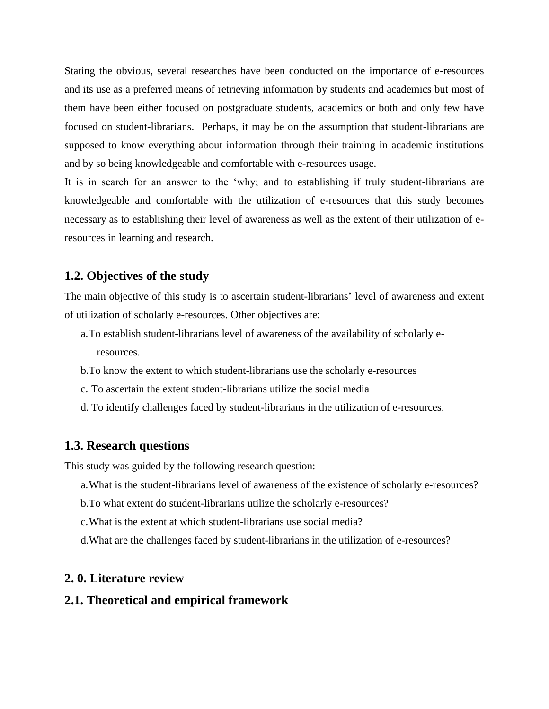Stating the obvious, several researches have been conducted on the importance of e-resources and its use as a preferred means of retrieving information by students and academics but most of them have been either focused on postgraduate students, academics or both and only few have focused on student-librarians. Perhaps, it may be on the assumption that student-librarians are supposed to know everything about information through their training in academic institutions and by so being knowledgeable and comfortable with e-resources usage.

It is in search for an answer to the 'why; and to establishing if truly student-librarians are knowledgeable and comfortable with the utilization of e-resources that this study becomes necessary as to establishing their level of awareness as well as the extent of their utilization of eresources in learning and research.

### **1.2. Objectives of the study**

The main objective of this study is to ascertain student-librarians' level of awareness and extent of utilization of scholarly e-resources. Other objectives are:

- a.To establish student-librarians level of awareness of the availability of scholarly eresources.
- b.To know the extent to which student-librarians use the scholarly e-resources
- c. To ascertain the extent student-librarians utilize the social media
- d. To identify challenges faced by student-librarians in the utilization of e-resources.

#### **1.3. Research questions**

This study was guided by the following research question:

- a.What is the student-librarians level of awareness of the existence of scholarly e-resources?
- b.To what extent do student-librarians utilize the scholarly e-resources?
- c.What is the extent at which student-librarians use social media?
- d.What are the challenges faced by student-librarians in the utilization of e-resources?

#### **2. 0. Literature review**

#### **2.1. Theoretical and empirical framework**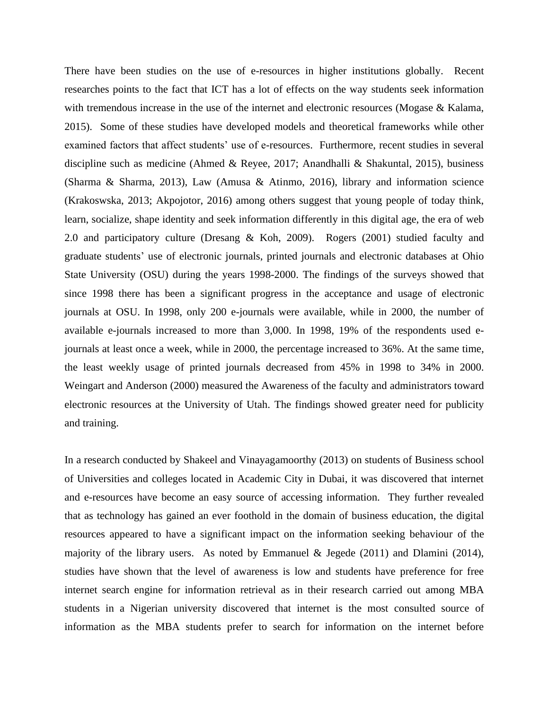There have been studies on the use of e-resources in higher institutions globally. Recent researches points to the fact that ICT has a lot of effects on the way students seek information with tremendous increase in the use of the internet and electronic resources (Mogase & Kalama, 2015). Some of these studies have developed models and theoretical frameworks while other examined factors that affect students' use of e-resources. Furthermore, recent studies in several discipline such as medicine (Ahmed & Reyee, 2017; Anandhalli & Shakuntal, 2015), business (Sharma & Sharma, 2013), Law (Amusa & Atinmo, 2016), library and information science (Krakoswska, 2013; Akpojotor, 2016) among others suggest that young people of today think, learn, socialize, shape identity and seek information differently in this digital age, the era of web 2.0 and participatory culture (Dresang & Koh, 2009). Rogers (2001) studied faculty and graduate students' use of electronic journals, printed journals and electronic databases at Ohio State University (OSU) during the years 1998-2000. The findings of the surveys showed that since 1998 there has been a significant progress in the acceptance and usage of electronic journals at OSU. In 1998, only 200 e-journals were available, while in 2000, the number of available e-journals increased to more than 3,000. In 1998, 19% of the respondents used ejournals at least once a week, while in 2000, the percentage increased to 36%. At the same time, the least weekly usage of printed journals decreased from 45% in 1998 to 34% in 2000. Weingart and Anderson (2000) measured the Awareness of the faculty and administrators toward electronic resources at the University of Utah. The findings showed greater need for publicity and training.

In a research conducted by Shakeel and Vinayagamoorthy (2013) on students of Business school of Universities and colleges located in Academic City in Dubai, it was discovered that internet and e-resources have become an easy source of accessing information. They further revealed that as technology has gained an ever foothold in the domain of business education, the digital resources appeared to have a significant impact on the information seeking behaviour of the majority of the library users. As noted by Emmanuel & Jegede  $(2011)$  and Dlamini  $(2014)$ , studies have shown that the level of awareness is low and students have preference for free internet search engine for information retrieval as in their research carried out among MBA students in a Nigerian university discovered that internet is the most consulted source of information as the MBA students prefer to search for information on the internet before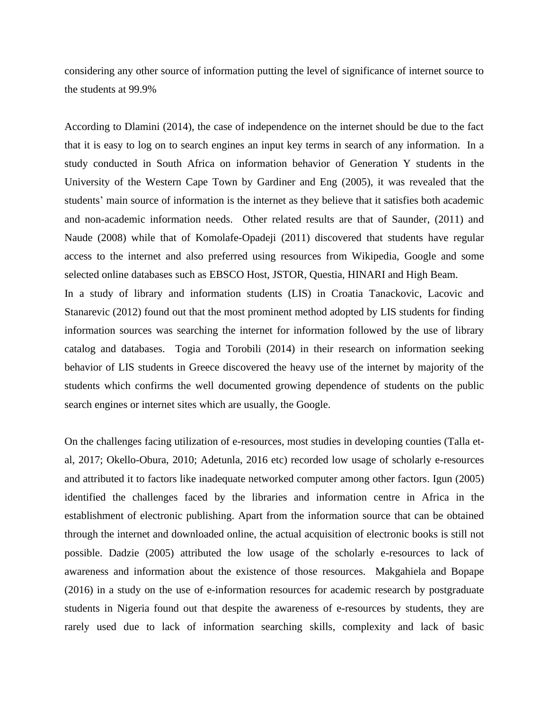considering any other source of information putting the level of significance of internet source to the students at 99.9%

According to Dlamini (2014), the case of independence on the internet should be due to the fact that it is easy to log on to search engines an input key terms in search of any information. In a study conducted in South Africa on information behavior of Generation Y students in the University of the Western Cape Town by Gardiner and Eng (2005), it was revealed that the students' main source of information is the internet as they believe that it satisfies both academic and non-academic information needs. Other related results are that of Saunder, (2011) and Naude (2008) while that of Komolafe-Opadeji (2011) discovered that students have regular access to the internet and also preferred using resources from Wikipedia, Google and some selected online databases such as EBSCO Host, JSTOR, Questia, HINARI and High Beam. In a study of library and information students (LIS) in Croatia Tanackovic, Lacovic and

Stanarevic (2012) found out that the most prominent method adopted by LIS students for finding information sources was searching the internet for information followed by the use of library catalog and databases. Togia and Torobili (2014) in their research on information seeking behavior of LIS students in Greece discovered the heavy use of the internet by majority of the students which confirms the well documented growing dependence of students on the public search engines or internet sites which are usually, the Google.

On the challenges facing utilization of e-resources, most studies in developing counties (Talla etal, 2017; Okello-Obura, 2010; Adetunla, 2016 etc) recorded low usage of scholarly e-resources and attributed it to factors like inadequate networked computer among other factors. Igun (2005) identified the challenges faced by the libraries and information centre in Africa in the establishment of electronic publishing. Apart from the information source that can be obtained through the internet and downloaded online, the actual acquisition of electronic books is still not possible. Dadzie (2005) attributed the low usage of the scholarly e-resources to lack of awareness and information about the existence of those resources. Makgahiela and Bopape (2016) in a study on the use of e-information resources for academic research by postgraduate students in Nigeria found out that despite the awareness of e-resources by students, they are rarely used due to lack of information searching skills, complexity and lack of basic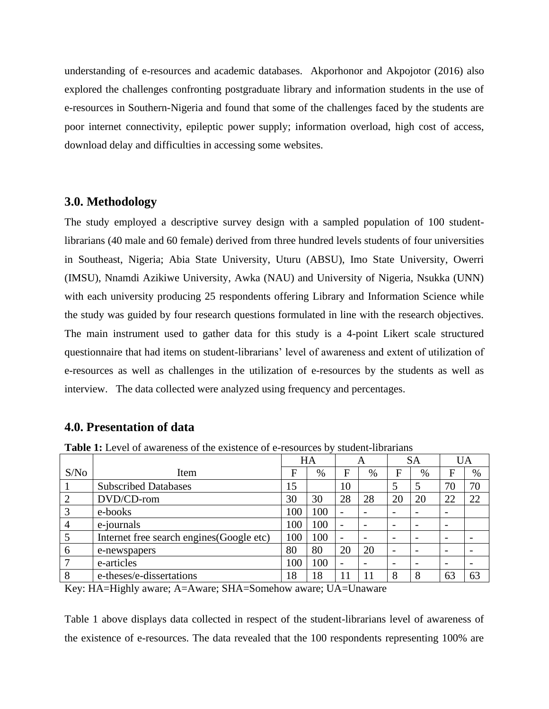understanding of e-resources and academic databases. Akporhonor and Akpojotor (2016) also explored the challenges confronting postgraduate library and information students in the use of e-resources in Southern-Nigeria and found that some of the challenges faced by the students are poor internet connectivity, epileptic power supply; information overload, high cost of access, download delay and difficulties in accessing some websites.

#### **3.0. Methodology**

The study employed a descriptive survey design with a sampled population of 100 studentlibrarians (40 male and 60 female) derived from three hundred levels students of four universities in Southeast, Nigeria; Abia State University, Uturu (ABSU), Imo State University, Owerri (IMSU), Nnamdi Azikiwe University, Awka (NAU) and University of Nigeria, Nsukka (UNN) with each university producing 25 respondents offering Library and Information Science while the study was guided by four research questions formulated in line with the research objectives. The main instrument used to gather data for this study is a 4-point Likert scale structured questionnaire that had items on student-librarians' level of awareness and extent of utilization of e-resources as well as challenges in the utilization of e-resources by the students as well as interview. The data collected were analyzed using frequency and percentages.

### **4.0. Presentation of data**

|                |                                           | HA  |      | A  |      | <b>SA</b>                |      |                          | UA   |
|----------------|-------------------------------------------|-----|------|----|------|--------------------------|------|--------------------------|------|
| S/No           | Item                                      |     | $\%$ | F  | $\%$ | F                        | $\%$ | F                        | $\%$ |
|                | <b>Subscribed Databases</b><br>15         |     |      | 10 |      | 5                        | 5    | 70                       | 70   |
| $\overline{2}$ | DVD/CD-rom                                |     | 30   | 28 | 28   | 20                       | 20   | 22                       | 22   |
| 3              | e-books                                   | 100 | 100  |    |      | $\overline{\phantom{0}}$ |      | $\overline{\phantom{0}}$ |      |
| $\overline{4}$ | e-journals                                |     | 100  |    |      |                          |      | $\overline{\phantom{0}}$ |      |
| 5              | Internet free search engines (Google etc) |     | 100  |    |      |                          |      |                          |      |
| 6              | e-newspapers                              |     | 80   | 20 | 20   |                          |      |                          |      |
| 7              | e-articles                                | 100 | 100  |    |      | $\overline{\phantom{0}}$ |      | $\overline{\phantom{0}}$ |      |
| 8              | e-theses/e-dissertations                  | 18  | 18   | 11 |      | 8                        | 8    | 63                       | 63   |

**Table 1:** Level of awareness of the existence of e-resources by student-librarians

Key: HA=Highly aware; A=Aware; SHA=Somehow aware; UA=Unaware

Table 1 above displays data collected in respect of the student-librarians level of awareness of the existence of e-resources. The data revealed that the 100 respondents representing 100% are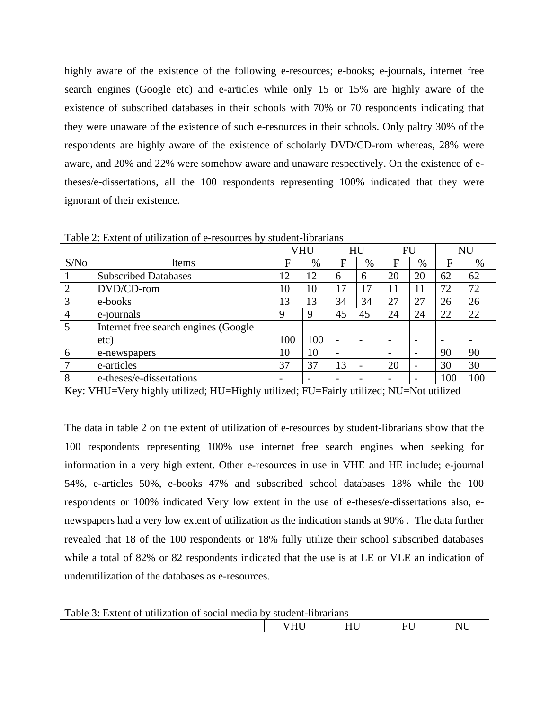highly aware of the existence of the following e-resources; e-books; e-journals, internet free search engines (Google etc) and e-articles while only 15 or 15% are highly aware of the existence of subscribed databases in their schools with 70% or 70 respondents indicating that they were unaware of the existence of such e-resources in their schools. Only paltry 30% of the respondents are highly aware of the existence of scholarly DVD/CD-rom whereas, 28% were aware, and 20% and 22% were somehow aware and unaware respectively. On the existence of etheses/e-dissertations, all the 100 respondents representing 100% indicated that they were ignorant of their existence.

|                |                                      | <b>VHU</b> |     | HU                       |                          | FU                       |                          |                          | NU                       |
|----------------|--------------------------------------|------------|-----|--------------------------|--------------------------|--------------------------|--------------------------|--------------------------|--------------------------|
| S/No           | Items                                | F          | %   | F                        | $\%$                     | F                        | $\%$                     | F                        | %                        |
|                | <b>Subscribed Databases</b>          | 12         | 12  | 6                        | 6                        | 20                       | 20                       | 62                       | 62                       |
| $\overline{2}$ | DVD/CD-rom                           | 10         | 10  | 17                       | 17                       | 11                       | 11                       | 72                       | 72                       |
| 3              | e-books                              | 13         | 13  | 34                       | 34                       | 27                       | 27                       | 26                       | 26                       |
| $\overline{4}$ | e-journals                           | 9          | 9   | 45                       | 45                       | 24                       | 24                       | 22                       | 22                       |
| 5              | Internet free search engines (Google |            |     |                          |                          |                          |                          |                          |                          |
|                | etc)                                 | 100        | 100 | $\overline{\phantom{a}}$ | $\overline{\phantom{0}}$ | $\overline{\phantom{0}}$ | $\overline{\phantom{0}}$ | $\overline{\phantom{a}}$ | $\overline{\phantom{0}}$ |
| 6              | e-newspapers                         | 10         | 10  | $\overline{\phantom{a}}$ |                          | $\overline{\phantom{0}}$ |                          | 90                       | 90                       |
| 7              | e-articles                           | 37         | 37  | 13                       |                          | 20                       | $\overline{\phantom{0}}$ | 30                       | 30                       |
| 8              | e-theses/e-dissertations             |            |     | $\overline{\phantom{0}}$ |                          | $\overline{\phantom{0}}$ |                          | 100                      | 100                      |

Table 2: Extent of utilization of e-resources by student-librarians

Key: VHU=Very highly utilized; HU=Highly utilized; FU=Fairly utilized; NU=Not utilized

The data in table 2 on the extent of utilization of e-resources by student-librarians show that the 100 respondents representing 100% use internet free search engines when seeking for information in a very high extent. Other e-resources in use in VHE and HE include; e-journal 54%, e-articles 50%, e-books 47% and subscribed school databases 18% while the 100 respondents or 100% indicated Very low extent in the use of e-theses/e-dissertations also, enewspapers had a very low extent of utilization as the indication stands at 90% . The data further revealed that 18 of the 100 respondents or 18% fully utilize their school subscribed databases while a total of 82% or 82 respondents indicated that the use is at LE or VLE an indication of underutilization of the databases as e-resources.

Table 3: Extent of utilization of social media by student-librarians

| Tuoto of Ekidin of unifeation of social modia of stagent horatians |                            |             |     |   |  |  |  |  |  |
|--------------------------------------------------------------------|----------------------------|-------------|-----|---|--|--|--|--|--|
|                                                                    | . <del>. .</del><br>$\sim$ | --- -<br>__ | --- | . |  |  |  |  |  |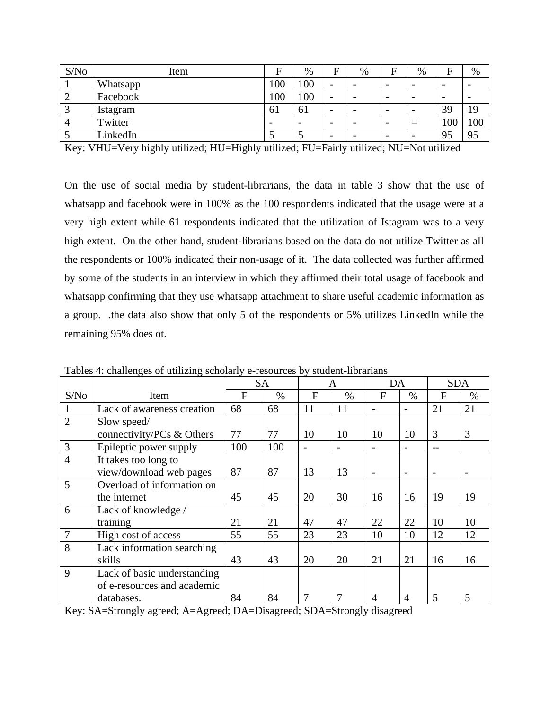| S/No | Item            | F   | %                        | F                        | $\%$                     | F                        | %                        | Е                        | %                        |
|------|-----------------|-----|--------------------------|--------------------------|--------------------------|--------------------------|--------------------------|--------------------------|--------------------------|
|      | Whatsapp        | 100 | 100                      | $\overline{\phantom{0}}$ | $\overline{\phantom{0}}$ | $\overline{\phantom{0}}$ | $\overline{\phantom{0}}$ | $\overline{\phantom{0}}$ | $\overline{\phantom{0}}$ |
| ∠    | Facebook        | 100 | 100                      | $\overline{\phantom{0}}$ |                          | $\overline{\phantom{0}}$ | $\overline{\phantom{0}}$ | $\overline{\phantom{0}}$ |                          |
|      | <b>Istagram</b> | 61  | 61                       | $\overline{\phantom{0}}$ | $\overline{\phantom{0}}$ | $\overline{\phantom{0}}$ | $\overline{\phantom{0}}$ | 39                       | 19                       |
|      | Twitter         | -   | $\overline{\phantom{0}}$ | $\overline{\phantom{0}}$ |                          | $\overline{\phantom{0}}$ | $\equiv$                 | 100                      | 100                      |
|      | LinkedIn        |     |                          |                          |                          |                          | $\overline{\phantom{0}}$ | 95                       | 95                       |

Key: VHU=Very highly utilized; HU=Highly utilized; FU=Fairly utilized; NU=Not utilized

On the use of social media by student-librarians, the data in table 3 show that the use of whatsapp and facebook were in 100% as the 100 respondents indicated that the usage were at a very high extent while 61 respondents indicated that the utilization of Istagram was to a very high extent. On the other hand, student-librarians based on the data do not utilize Twitter as all the respondents or 100% indicated their non-usage of it. The data collected was further affirmed by some of the students in an interview in which they affirmed their total usage of facebook and whatsapp confirming that they use whatsapp attachment to share useful academic information as a group. .the data also show that only 5 of the respondents or 5% utilizes LinkedIn while the remaining 95% does ot.

|                |                             | <b>SA</b> |      |              | A             | DA |      | <b>SDA</b>     |      |
|----------------|-----------------------------|-----------|------|--------------|---------------|----|------|----------------|------|
| S/No           | Item                        | F         | $\%$ | $\mathbf{F}$ | $\frac{0}{0}$ | F  | $\%$ | $\overline{F}$ | $\%$ |
|                | Lack of awareness creation  | 68        | 68   | 11           | 11            |    |      | 21             | 21   |
| $\overline{2}$ | Slow speed/                 |           |      |              |               |    |      |                |      |
|                | connectivity/PCs & Others   | 77        | 77   | 10           | 10            | 10 | 10   | 3              | 3    |
| $\overline{3}$ | Epileptic power supply      | 100       | 100  |              | ۰             |    |      |                |      |
| $\overline{4}$ | It takes too long to        |           |      |              |               |    |      |                |      |
|                | view/download web pages     | 87        | 87   | 13           | 13            |    |      |                |      |
| 5              | Overload of information on  |           |      |              |               |    |      |                |      |
|                | the internet                | 45        | 45   | 20           | 30            | 16 | 16   | 19             | 19   |
| 6              | Lack of knowledge /         |           |      |              |               |    |      |                |      |
|                | training                    | 21        | 21   | 47           | 47            | 22 | 22   | 10             | 10   |
| $\overline{7}$ | High cost of access         | 55        | 55   | 23           | 23            | 10 | 10   | 12             | 12   |
| 8              | Lack information searching  |           |      |              |               |    |      |                |      |
|                | skills                      | 43        | 43   | 20           | 20            | 21 | 21   | 16             | 16   |
| 9              | Lack of basic understanding |           |      |              |               |    |      |                |      |
|                | of e-resources and academic |           |      |              |               |    |      |                |      |
|                | databases.                  | 84        | 84   |              |               | 4  | 4    | 5              |      |

Tables 4: challenges of utilizing scholarly e-resources by student-librarians

Key: SA=Strongly agreed; A=Agreed; DA=Disagreed; SDA=Strongly disagreed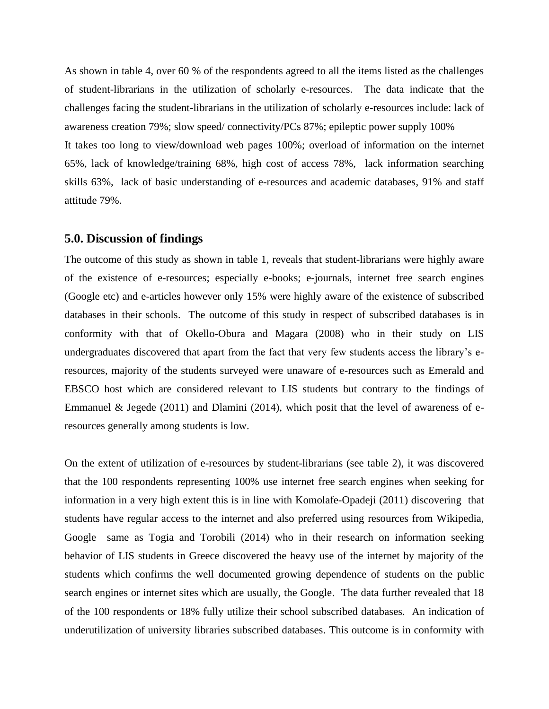As shown in table 4, over 60 % of the respondents agreed to all the items listed as the challenges of student-librarians in the utilization of scholarly e-resources. The data indicate that the challenges facing the student-librarians in the utilization of scholarly e-resources include: lack of awareness creation 79%; slow speed/ connectivity/PCs 87%; epileptic power supply 100% It takes too long to view/download web pages 100%; overload of information on the internet 65%, lack of knowledge/training 68%, high cost of access 78%, lack information searching skills 63%, lack of basic understanding of e-resources and academic databases, 91% and staff attitude 79%.

#### **5.0. Discussion of findings**

The outcome of this study as shown in table 1, reveals that student-librarians were highly aware of the existence of e-resources; especially e-books; e-journals, internet free search engines (Google etc) and e-articles however only 15% were highly aware of the existence of subscribed databases in their schools. The outcome of this study in respect of subscribed databases is in conformity with that of Okello-Obura and Magara (2008) who in their study on LIS undergraduates discovered that apart from the fact that very few students access the library's eresources, majority of the students surveyed were unaware of e-resources such as Emerald and EBSCO host which are considered relevant to LIS students but contrary to the findings of Emmanuel & Jegede (2011) and Dlamini (2014), which posit that the level of awareness of eresources generally among students is low.

On the extent of utilization of e-resources by student-librarians (see table 2), it was discovered that the 100 respondents representing 100% use internet free search engines when seeking for information in a very high extent this is in line with Komolafe-Opadeji (2011) discovering that students have regular access to the internet and also preferred using resources from Wikipedia, Google same as Togia and Torobili (2014) who in their research on information seeking behavior of LIS students in Greece discovered the heavy use of the internet by majority of the students which confirms the well documented growing dependence of students on the public search engines or internet sites which are usually, the Google. The data further revealed that 18 of the 100 respondents or 18% fully utilize their school subscribed databases. An indication of underutilization of university libraries subscribed databases. This outcome is in conformity with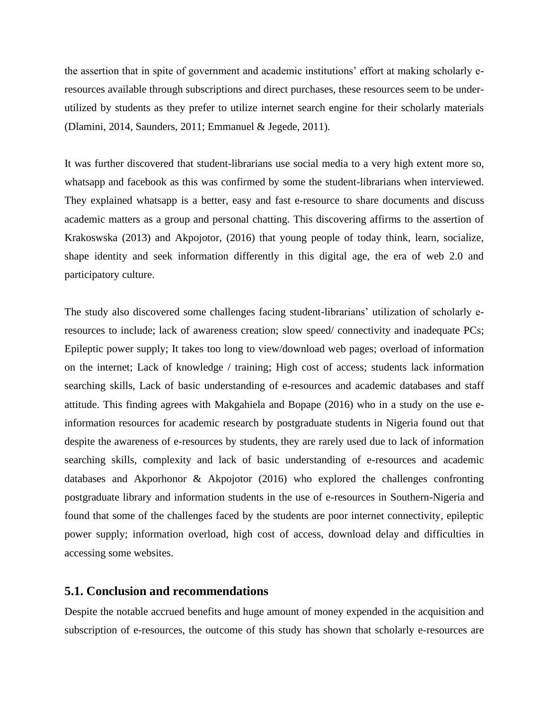the assertion that in spite of government and academic institutions' effort at making scholarly eresources available through subscriptions and direct purchases, these resources seem to be underutilized by students as they prefer to utilize internet search engine for their scholarly materials (Dlamini, 2014, Saunders, 2011; Emmanuel & Jegede, 2011).

It was further discovered that student-librarians use social media to a very high extent more so, whatsapp and facebook as this was confirmed by some the student-librarians when interviewed. They explained whatsapp is a better, easy and fast e-resource to share documents and discuss academic matters as a group and personal chatting. This discovering affirms to the assertion of Krakoswska (2013) and Akpojotor, (2016) that young people of today think, learn, socialize, shape identity and seek information differently in this digital age, the era of web 2.0 and participatory culture.

The study also discovered some challenges facing student-librarians' utilization of scholarly eresources to include; lack of awareness creation; slow speed/ connectivity and inadequate PCs; Epileptic power supply; It takes too long to view/download web pages; overload of information on the internet; Lack of knowledge / training; High cost of access; students lack information searching skills, Lack of basic understanding of e-resources and academic databases and staff attitude. This finding agrees with Makgahiela and Bopape (2016) who in a study on the use einformation resources for academic research by postgraduate students in Nigeria found out that despite the awareness of e-resources by students, they are rarely used due to lack of information searching skills, complexity and lack of basic understanding of e-resources and academic databases and Akporhonor & Akpojotor (2016) who explored the challenges confronting postgraduate library and information students in the use of e-resources in Southern-Nigeria and found that some of the challenges faced by the students are poor internet connectivity, epileptic power supply; information overload, high cost of access, download delay and difficulties in accessing some websites.

#### **5.1. Conclusion and recommendations**

Despite the notable accrued benefits and huge amount of money expended in the acquisition and subscription of e-resources, the outcome of this study has shown that scholarly e-resources are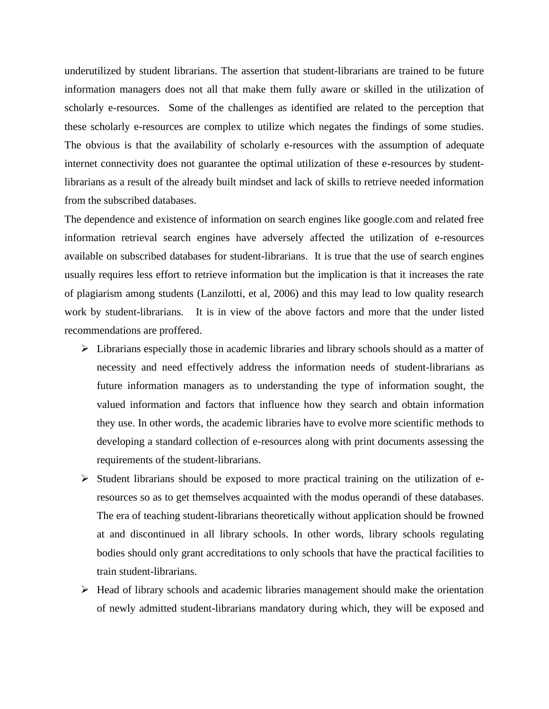underutilized by student librarians. The assertion that student-librarians are trained to be future information managers does not all that make them fully aware or skilled in the utilization of scholarly e-resources. Some of the challenges as identified are related to the perception that these scholarly e-resources are complex to utilize which negates the findings of some studies. The obvious is that the availability of scholarly e-resources with the assumption of adequate internet connectivity does not guarantee the optimal utilization of these e-resources by studentlibrarians as a result of the already built mindset and lack of skills to retrieve needed information from the subscribed databases.

The dependence and existence of information on search engines like google.com and related free information retrieval search engines have adversely affected the utilization of e-resources available on subscribed databases for student-librarians. It is true that the use of search engines usually requires less effort to retrieve information but the implication is that it increases the rate of plagiarism among students (Lanzilotti, et al, 2006) and this may lead to low quality research work by student-librarians. It is in view of the above factors and more that the under listed recommendations are proffered.

- ➢ Librarians especially those in academic libraries and library schools should as a matter of necessity and need effectively address the information needs of student-librarians as future information managers as to understanding the type of information sought, the valued information and factors that influence how they search and obtain information they use. In other words, the academic libraries have to evolve more scientific methods to developing a standard collection of e-resources along with print documents assessing the requirements of the student-librarians.
- ➢ Student librarians should be exposed to more practical training on the utilization of eresources so as to get themselves acquainted with the modus operandi of these databases. The era of teaching student-librarians theoretically without application should be frowned at and discontinued in all library schools. In other words, library schools regulating bodies should only grant accreditations to only schools that have the practical facilities to train student-librarians.
- ➢ Head of library schools and academic libraries management should make the orientation of newly admitted student-librarians mandatory during which, they will be exposed and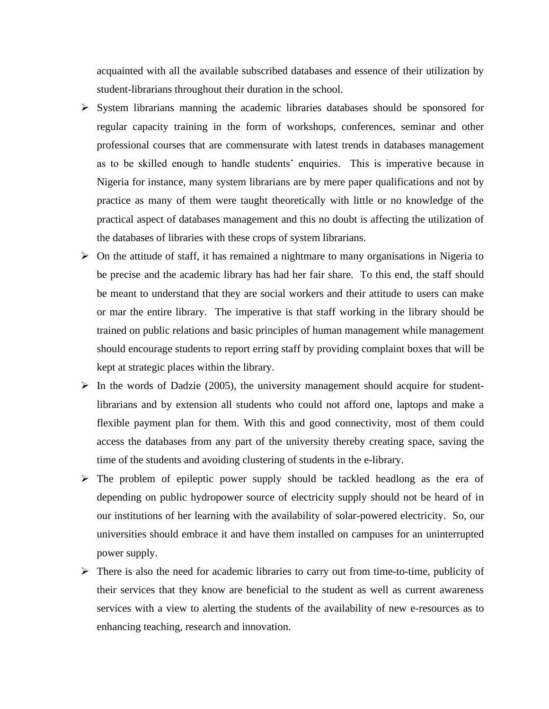acquainted with all the available subscribed databases and essence of their utilization by student-librarians throughout their duration in the school.

- ➢ System librarians manning the academic libraries databases should be sponsored for regular capacity training in the form of workshops, conferences, seminar and other professional courses that are commensurate with latest trends in databases management as to be skilled enough to handle students' enquiries. This is imperative because in Nigeria for instance, many system librarians are by mere paper qualifications and not by practice as many of them were taught theoretically with little or no knowledge of the practical aspect of databases management and this no doubt is affecting the utilization of the databases of libraries with these crops of system librarians.
- $\triangleright$  On the attitude of staff, it has remained a nightmare to many organisations in Nigeria to be precise and the academic library has had her fair share. To this end, the staff should be meant to understand that they are social workers and their attitude to users can make or mar the entire library. The imperative is that staff working in the library should be trained on public relations and basic principles of human management while management should encourage students to report erring staff by providing complaint boxes that will be kept at strategic places within the library.
- $\triangleright$  In the words of Dadzie (2005), the university management should acquire for studentlibrarians and by extension all students who could not afford one, laptops and make a flexible payment plan for them. With this and good connectivity, most of them could access the databases from any part of the university thereby creating space, saving the time of the students and avoiding clustering of students in the e-library.
- ➢ The problem of epileptic power supply should be tackled headlong as the era of depending on public hydropower source of electricity supply should not be heard of in our institutions of her learning with the availability of solar-powered electricity. So, our universities should embrace it and have them installed on campuses for an uninterrupted power supply.
- ➢ There is also the need for academic libraries to carry out from time-to-time, publicity of their services that they know are beneficial to the student as well as current awareness services with a view to alerting the students of the availability of new e-resources as to enhancing teaching, research and innovation.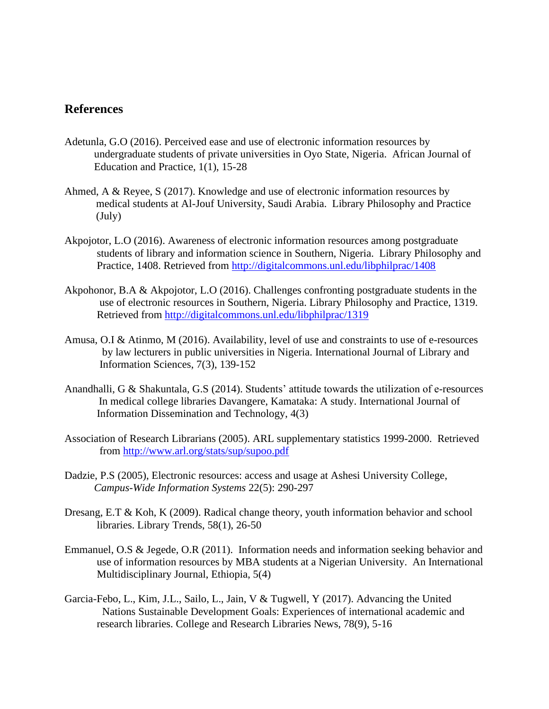## **References**

- Adetunla, G.O (2016). Perceived ease and use of electronic information resources by undergraduate students of private universities in Oyo State, Nigeria. African Journal of Education and Practice, 1(1), 15-28
- Ahmed, A & Reyee, S (2017). Knowledge and use of electronic information resources by medical students at Al-Jouf University, Saudi Arabia. Library Philosophy and Practice (July)
- Akpojotor, L.O (2016). Awareness of electronic information resources among postgraduate students of library and information science in Southern, Nigeria. Library Philosophy and Practice, 1408. Retrieved from<http://digitalcommons.unl.edu/libphilprac/1408>
- Akpohonor, B.A & Akpojotor, L.O (2016). Challenges confronting postgraduate students in the use of electronic resources in Southern, Nigeria. Library Philosophy and Practice, 1319. Retrieved from<http://digitalcommons.unl.edu/libphilprac/1319>
- Amusa, O.I & Atinmo, M (2016). Availability, level of use and constraints to use of e-resources by law lecturers in public universities in Nigeria. International Journal of Library and Information Sciences, 7(3), 139-152
- Anandhalli, G & Shakuntala, G.S (2014). Students' attitude towards the utilization of e-resources In medical college libraries Davangere, Kamataka: A study. International Journal of Information Dissemination and Technology, 4(3)
- Association of Research Librarians (2005). ARL supplementary statistics 1999-2000. Retrieved from<http://www.arl.org/stats/sup/supoo.pdf>
- Dadzie, P.S (2005), Electronic resources: access and usage at Ashesi University College, *Campus-Wide Information Systems* 22(5): 290-297
- Dresang, E.T & Koh, K (2009). Radical change theory, youth information behavior and school libraries. Library Trends, 58(1), 26-50
- Emmanuel, O.S & Jegede, O.R (2011). Information needs and information seeking behavior and use of information resources by MBA students at a Nigerian University. An International Multidisciplinary Journal, Ethiopia, 5(4)
- Garcia-Febo, L., Kim, J.L., Sailo, L., Jain, V & Tugwell, Y (2017). Advancing the United Nations Sustainable Development Goals: Experiences of international academic and research libraries. College and Research Libraries News, 78(9), 5-16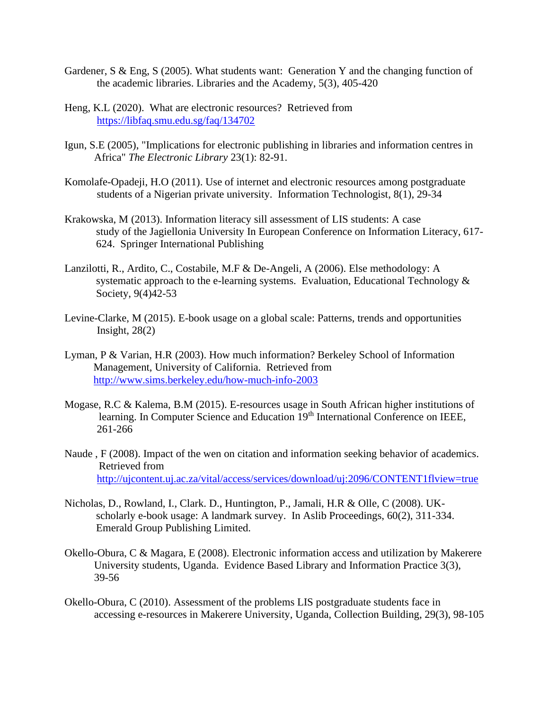- Gardener, S & Eng, S (2005). What students want: Generation Y and the changing function of the academic libraries. Libraries and the Academy, 5(3), 405-420
- Heng, K.L (2020). What are electronic resources? Retrieved from <https://libfaq.smu.edu.sg/faq/134702>
- Igun, S.E (2005), "Implications for electronic publishing in libraries and information centres in Africa" *The Electronic Library* 23(1): 82-91.
- Komolafe-Opadeji, H.O (2011). Use of internet and electronic resources among postgraduate students of a Nigerian private university. Information Technologist, 8(1), 29-34
- Krakowska, M (2013). Information literacy sill assessment of LIS students: A case study of the Jagiellonia University In European Conference on Information Literacy, 617- 624. Springer International Publishing
- Lanzilotti, R., Ardito, C., Costabile, M.F & De-Angeli, A (2006). Else methodology: A systematic approach to the e-learning systems. Evaluation, Educational Technology  $\&$ Society, 9(4)42-53
- Levine-Clarke, M (2015). E-book usage on a global scale: Patterns, trends and opportunities Insight,  $28(2)$
- Lyman, P & Varian, H.R (2003). How much information? Berkeley School of Information Management, University of California. Retrieved from <http://www.sims.berkeley.edu/how-much-info-2003>
- Mogase, R.C & Kalema, B.M (2015). E-resources usage in South African higher institutions of learning. In Computer Science and Education 19<sup>th</sup> International Conference on IEEE, 261-266
- Naude , F (2008). Impact of the wen on citation and information seeking behavior of academics. Retrieved from <http://ujcontent.uj.ac.za/vital/access/services/download/uj:2096/CONTENT1flview=true>
- Nicholas, D., Rowland, I., Clark. D., Huntington, P., Jamali, H.R & Olle, C (2008). UKscholarly e-book usage: A landmark survey. In Aslib Proceedings, 60(2), 311-334. Emerald Group Publishing Limited.
- Okello-Obura, C & Magara, E (2008). Electronic information access and utilization by Makerere University students, Uganda. Evidence Based Library and Information Practice 3(3), 39-56
- Okello-Obura, C (2010). Assessment of the problems LIS postgraduate students face in accessing e-resources in Makerere University, Uganda, Collection Building, 29(3), 98-105